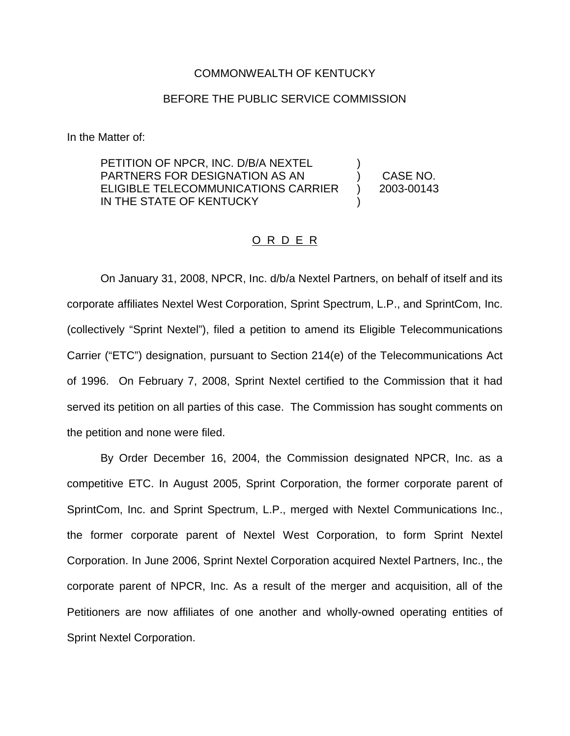## COMMONWEALTH OF KENTUCKY

## BEFORE THE PUBLIC SERVICE COMMISSION

In the Matter of:

PETITION OF NPCR, INC. D/B/A NEXTEL PARTNERS FOR DESIGNATION AS AN ELIGIBLE TELECOMMUNICATIONS CARRIER IN THE STATE OF KENTUCKY ) ) CASE NO. ) 2003-00143 )

## O R D E R

On January 31, 2008, NPCR, Inc. d/b/a Nextel Partners, on behalf of itself and its corporate affiliates Nextel West Corporation, Sprint Spectrum, L.P., and SprintCom, Inc. (collectively "Sprint Nextel"), filed a petition to amend its Eligible Telecommunications Carrier ("ETC") designation, pursuant to Section 214(e) of the Telecommunications Act of 1996. On February 7, 2008, Sprint Nextel certified to the Commission that it had served its petition on all parties of this case. The Commission has sought comments on the petition and none were filed.

By Order December 16, 2004, the Commission designated NPCR, Inc. as a competitive ETC. In August 2005, Sprint Corporation, the former corporate parent of SprintCom, Inc. and Sprint Spectrum, L.P., merged with Nextel Communications Inc., the former corporate parent of Nextel West Corporation, to form Sprint Nextel Corporation. In June 2006, Sprint Nextel Corporation acquired Nextel Partners, Inc., the corporate parent of NPCR, Inc. As a result of the merger and acquisition, all of the Petitioners are now affiliates of one another and wholly-owned operating entities of Sprint Nextel Corporation.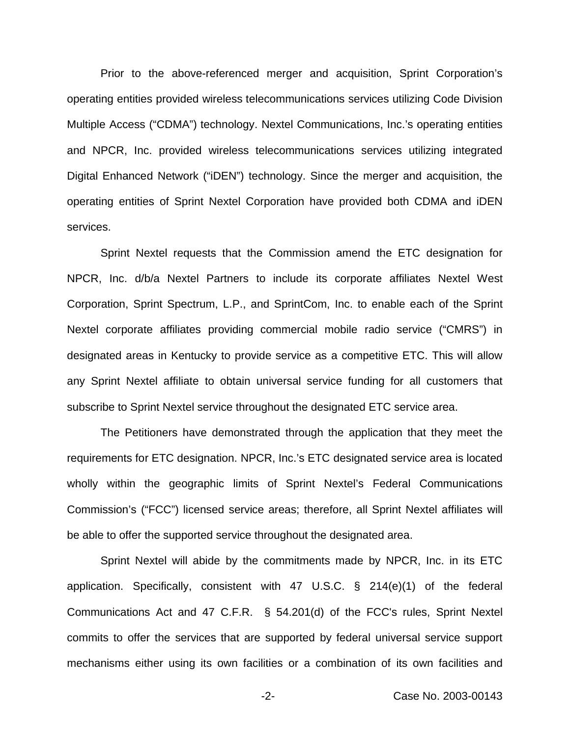Prior to the above-referenced merger and acquisition, Sprint Corporation's operating entities provided wireless telecommunications services utilizing Code Division Multiple Access ("CDMA") technology. Nextel Communications, Inc.'s operating entities and NPCR, Inc. provided wireless telecommunications services utilizing integrated Digital Enhanced Network ("iDEN") technology. Since the merger and acquisition, the operating entities of Sprint Nextel Corporation have provided both CDMA and iDEN services.

Sprint Nextel requests that the Commission amend the ETC designation for NPCR, Inc. d/b/a Nextel Partners to include its corporate affiliates Nextel West Corporation, Sprint Spectrum, L.P., and SprintCom, Inc. to enable each of the Sprint Nextel corporate affiliates providing commercial mobile radio service ("CMRS") in designated areas in Kentucky to provide service as a competitive ETC. This will allow any Sprint Nextel affiliate to obtain universal service funding for all customers that subscribe to Sprint Nextel service throughout the designated ETC service area.

The Petitioners have demonstrated through the application that they meet the requirements for ETC designation. NPCR, Inc.'s ETC designated service area is located wholly within the geographic limits of Sprint Nextel's Federal Communications Commission's ("FCC") licensed service areas; therefore, all Sprint Nextel affiliates will be able to offer the supported service throughout the designated area.

Sprint Nextel will abide by the commitments made by NPCR, Inc. in its ETC application. Specifically, consistent with 47 U.S.C. § 214(e)(1) of the federal Communications Act and 47 C.F.R. § 54.201(d) of the FCC's rules, Sprint Nextel commits to offer the services that are supported by federal universal service support mechanisms either using its own facilities or a combination of its own facilities and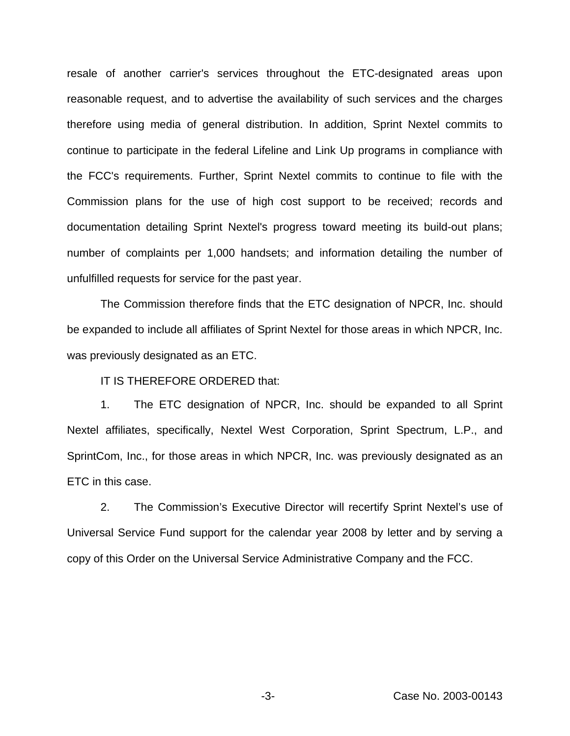resale of another carrier's services throughout the ETC-designated areas upon reasonable request, and to advertise the availability of such services and the charges therefore using media of general distribution. In addition, Sprint Nextel commits to continue to participate in the federal Lifeline and Link Up programs in compliance with the FCC's requirements. Further, Sprint Nextel commits to continue to file with the Commission plans for the use of high cost support to be received; records and documentation detailing Sprint Nextel's progress toward meeting its build-out plans; number of complaints per 1,000 handsets; and information detailing the number of unfulfilled requests for service for the past year.

The Commission therefore finds that the ETC designation of NPCR, Inc. should be expanded to include all affiliates of Sprint Nextel for those areas in which NPCR, Inc. was previously designated as an ETC.

IT IS THEREFORE ORDERED that:

1. The ETC designation of NPCR, Inc. should be expanded to all Sprint Nextel affiliates, specifically, Nextel West Corporation, Sprint Spectrum, L.P., and SprintCom, Inc., for those areas in which NPCR, Inc. was previously designated as an ETC in this case.

2. The Commission's Executive Director will recertify Sprint Nextel's use of Universal Service Fund support for the calendar year 2008 by letter and by serving a copy of this Order on the Universal Service Administrative Company and the FCC.